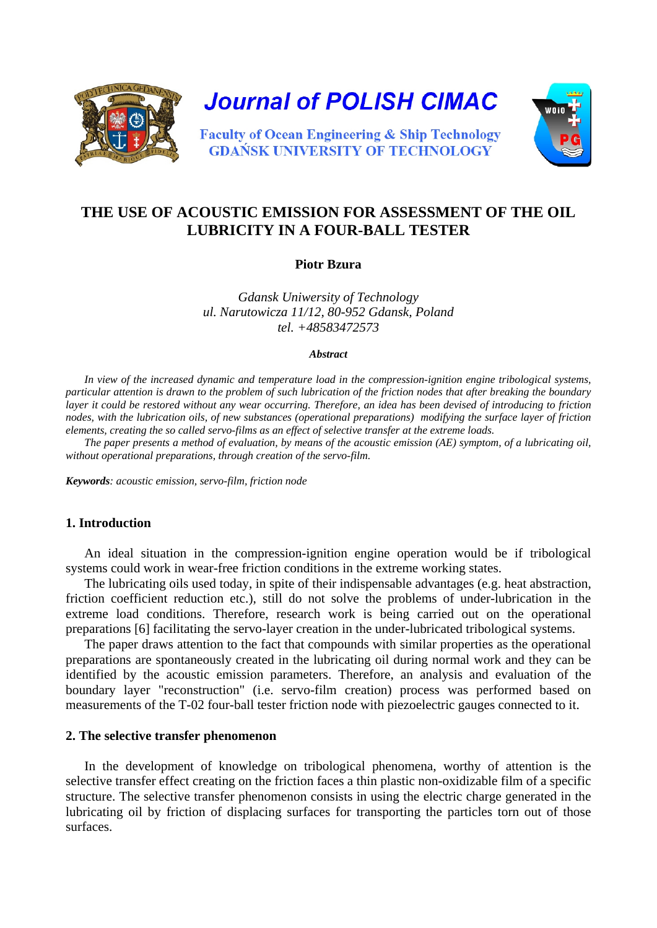

**Journal of POLISH CIMAC** 



**Faculty of Ocean Engineering & Ship Technology GDAŃSK UNIVERSITY OF TECHNOLOGY** 

# **THE USE OF ACOUSTIC EMISSION FOR ASSESSMENT OF THE OIL LUBRICITY IN A FOUR-BALL TESTER**

### **Piotr Bzura**

*Gdansk Uniwersity of Technology ul. Narutowicza 11/12, 80-952 Gdansk, Poland tel. +48583472573* 

#### *Abstract*

*In view of the increased dynamic and temperature load in the compression-ignition engine tribological systems, particular attention is drawn to the problem of such lubrication of the friction nodes that after breaking the boundary layer it could be restored without any wear occurring. Therefore, an idea has been devised of introducing to friction nodes, with the lubrication oils, of new substances (operational preparations) modifying the surface layer of friction elements, creating the so called servo-films as an effect of selective transfer at the extreme loads.* 

*The paper presents a method of evaluation, by means of the acoustic emission (AE) symptom, of a lubricating oil, without operational preparations, through creation of the servo-film.* 

*Keywords: acoustic emission, servo-film, friction node* 

### **1. Introduction**

 An ideal situation in the compression-ignition engine operation would be if tribological systems could work in wear-free friction conditions in the extreme working states.

 The lubricating oils used today, in spite of their indispensable advantages (e.g. heat abstraction, friction coefficient reduction etc.), still do not solve the problems of under-lubrication in the extreme load conditions. Therefore, research work is being carried out on the operational preparations [6] facilitating the servo-layer creation in the under-lubricated tribological systems.

 The paper draws attention to the fact that compounds with similar properties as the operational preparations are spontaneously created in the lubricating oil during normal work and they can be identified by the acoustic emission parameters. Therefore, an analysis and evaluation of the boundary layer "reconstruction" (i.e. servo-film creation) process was performed based on measurements of the T-02 four-ball tester friction node with piezoelectric gauges connected to it.

### **2. The selective transfer phenomenon**

 In the development of knowledge on tribological phenomena, worthy of attention is the selective transfer effect creating on the friction faces a thin plastic non-oxidizable film of a specific structure. The selective transfer phenomenon consists in using the electric charge generated in the lubricating oil by friction of displacing surfaces for transporting the particles torn out of those surfaces.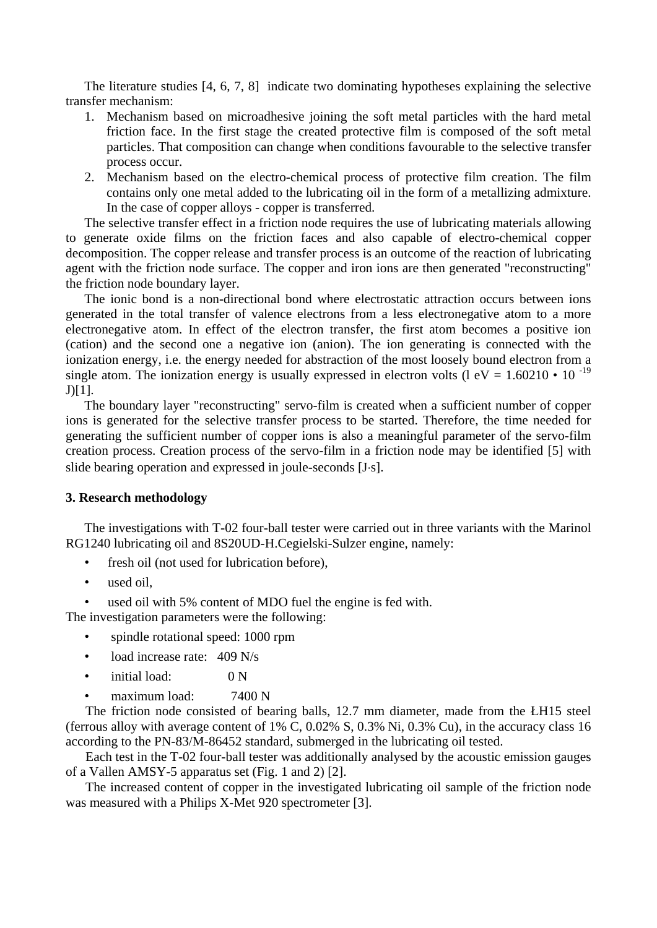The literature studies [4, 6, 7, 8] indicate two dominating hypotheses explaining the selective transfer mechanism:

- 1. Mechanism based on microadhesive joining the soft metal particles with the hard metal friction face. In the first stage the created protective film is composed of the soft metal particles. That composition can change when conditions favourable to the selective transfer process occur.
- 2. Mechanism based on the electro-chemical process of protective film creation. The film contains only one metal added to the lubricating oil in the form of a metallizing admixture. In the case of copper alloys - copper is transferred.

 The selective transfer effect in a friction node requires the use of lubricating materials allowing to generate oxide films on the friction faces and also capable of electro-chemical copper decomposition. The copper release and transfer process is an outcome of the reaction of lubricating agent with the friction node surface. The copper and iron ions are then generated "reconstructing" the friction node boundary layer.

 The ionic bond is a non-directional bond where electrostatic attraction occurs between ions generated in the total transfer of valence electrons from a less electronegative atom to a more electronegative atom. In effect of the electron transfer, the first atom becomes a positive ion (cation) and the second one a negative ion (anion). The ion generating is connected with the ionization energy, i.e. the energy needed for abstraction of the most loosely bound electron from a single atom. The ionization energy is usually expressed in electron volts (1 eV =  $1.60210 \cdot 10^{-19}$ ) J)[1].

 The boundary layer "reconstructing" servo-film is created when a sufficient number of copper ions is generated for the selective transfer process to be started. Therefore, the time needed for generating the sufficient number of copper ions is also a meaningful parameter of the servo-film creation process. Creation process of the servo-film in a friction node may be identified [5] with slide bearing operation and expressed in joule-seconds [J·s].

# **3. Research methodology**

 The investigations with T-02 four-ball tester were carried out in three variants with the Marinol RG1240 lubricating oil and 8S20UD-H.Cegielski-Sulzer engine, namely:

fresh oil (not used for lubrication before).

used oil.

used oil with 5% content of MDO fuel the engine is fed with.

The investigation parameters were the following:

- spindle rotational speed: 1000 rpm
- load increase rate: 409 N/s
- initial load: 0 N
- maximum load: 7400 N

The friction node consisted of bearing balls, 12.7 mm diameter, made from the ŁH15 steel (ferrous alloy with average content of 1% C, 0.02% S, 0.3% Ni, 0.3% Cu), in the accuracy class 16 according to the PN-83/M-86452 standard, submerged in the lubricating oil tested.

Each test in the T-02 four-ball tester was additionally analysed by the acoustic emission gauges of a Vallen AMSY-5 apparatus set (Fig. 1 and 2) [2].

The increased content of copper in the investigated lubricating oil sample of the friction node was measured with a Philips X-Met 920 spectrometer [3].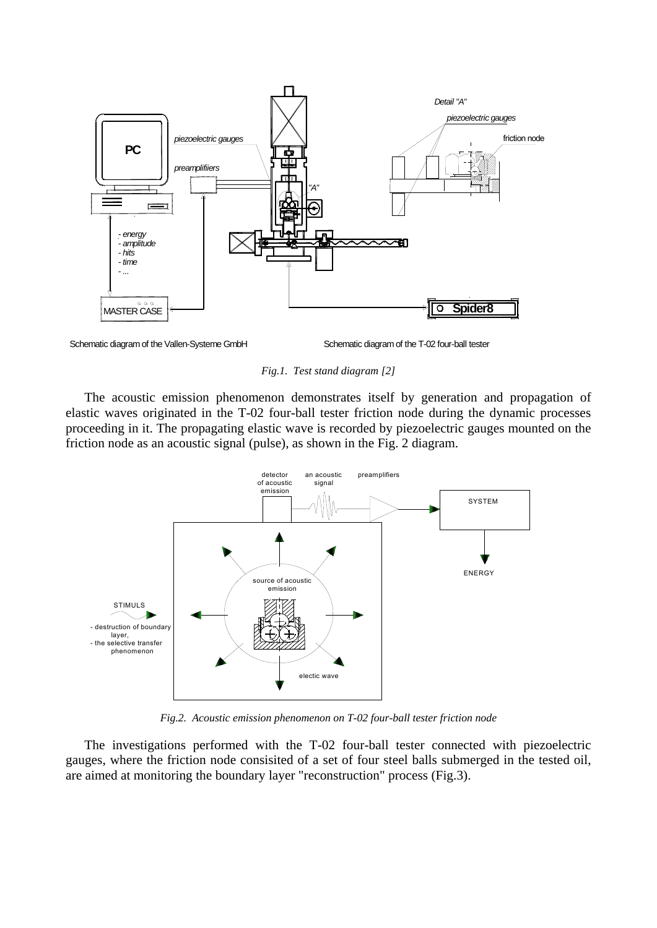



*Fig.1. Test stand diagram [2]* 

 The acoustic emission phenomenon demonstrates itself by generation and propagation of elastic waves originated in the T-02 four-ball tester friction node during the dynamic processes proceeding in it. The propagating elastic wave is recorded by piezoelectric gauges mounted on the friction node as an acoustic signal (pulse), as shown in the Fig. 2 diagram.



*Fig.2. Acoustic emission phenomenon on T-02 four-ball tester friction node* 

 The investigations performed with the T-02 four-ball tester connected with piezoelectric gauges, where the friction node consisited of a set of four steel balls submerged in the tested oil, are aimed at monitoring the boundary layer "reconstruction" process (Fig.3).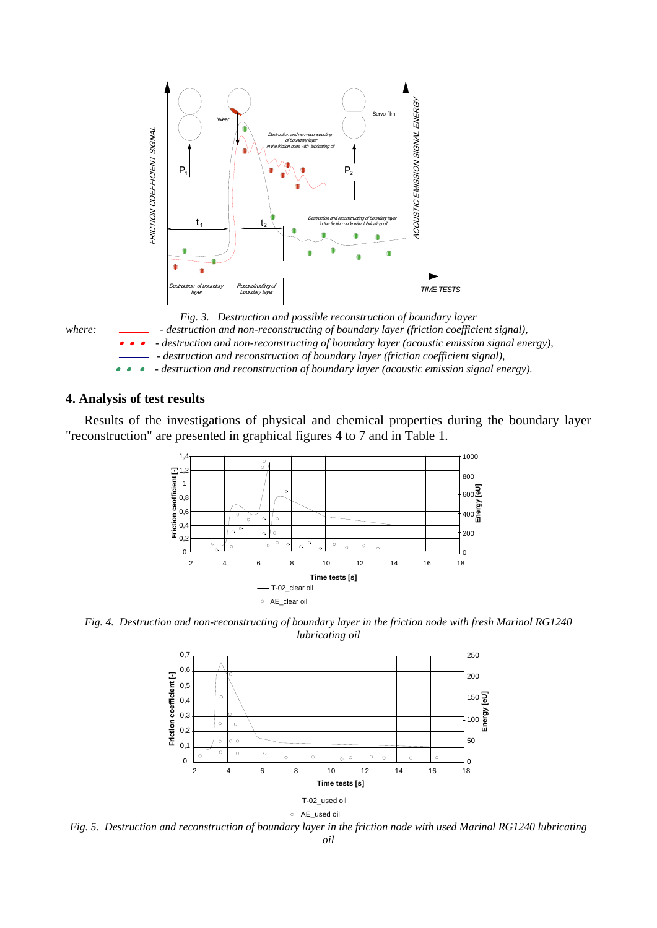

### **4. Analysis of test results**

 Results of the investigations of physical and chemical properties during the boundary layer "reconstruction" are presented in graphical figures 4 to 7 and in Table 1.

![](_page_3_Figure_3.jpeg)

*Fig. 4. Destruction and non-reconstructing of boundary layer in the friction node with fresh Marinol RG1240 lubricating oil* 

![](_page_3_Figure_5.jpeg)

*Fig. 5. Destruction and reconstruction of boundary layer in the friction node with used Marinol RG1240 lubricating*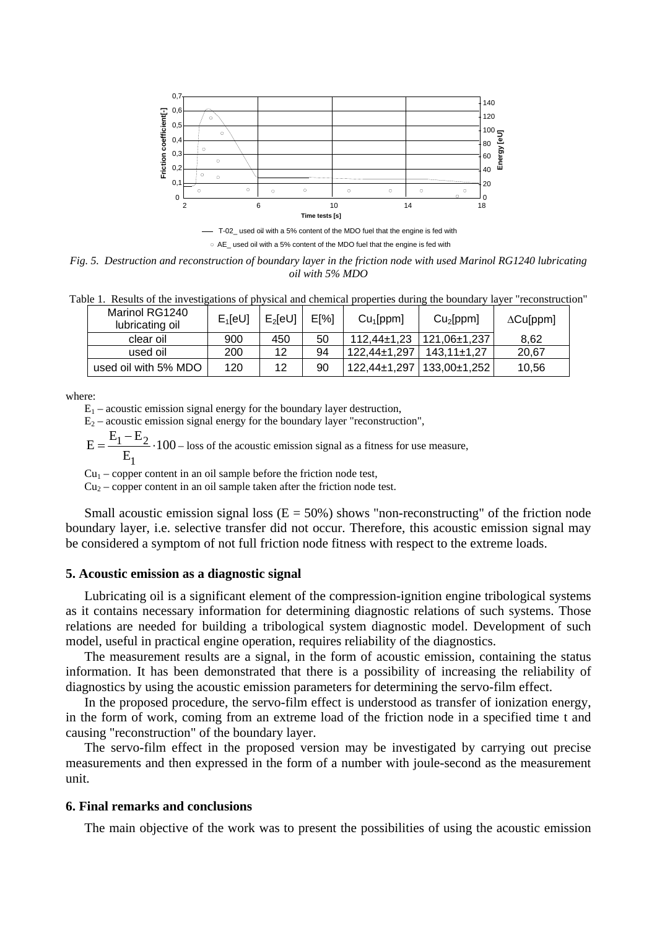![](_page_4_Figure_0.jpeg)

T-02\_ used oil with a 5% content of the MDO fuel that the engine is fed with AE\_ used oil with a 5% content of the MDO fuel that the engine is fed with

*Fig. 5. Destruction and reconstruction of boundary layer in the friction node with used Marinol RG1240 lubricating oil with 5% MDO* 

Table 1. Results of the investigations of physical and chemical properties during the boundary layer "reconstruction"

| Marinol RG1240<br>lubricating oil | $E_1$ [eU] | $E_2$ [eU] | $E[\%]$ | Cu <sub>1</sub> [ppm] | Cu <sub>2</sub> [ppm] | $\Delta$ Cu[ppm] |
|-----------------------------------|------------|------------|---------|-----------------------|-----------------------|------------------|
| clear oil                         | 900        | 450        | 50      | $112.44 \pm 1.23$     | 121.06±1.237          | 8.62             |
| used oil                          | 200        | 12         | 94      | 122.44±1.297          | $143.11 \pm 1.27$     | 20,67            |
| used oil with 5% MDO              | 120        | 12         | 90      | 122,44±1,297          | 133,00±1,252          | 10,56            |

where:

 $E_1$  – acoustic emission signal energy for the boundary layer destruction,

 $E<sub>2</sub>$  – acoustic emission signal energy for the boundary layer "reconstruction",

$$
E = \frac{E_1 - E_2}{E_1} \cdot 100 - \text{loss of the acoustic emission signal as a fitness for use measure,}
$$

 $Cu<sub>1</sub>$  – copper content in an oil sample before the friction node test,

 $Cu<sub>2</sub> - copper content in an oil sample taken after the friction node test.$ 

Small acoustic emission signal loss ( $E = 50\%$ ) shows "non-reconstructing" of the friction node boundary layer, i.e. selective transfer did not occur. Therefore, this acoustic emission signal may be considered a symptom of not full friction node fitness with respect to the extreme loads.

### **5. Acoustic emission as a diagnostic signal**

Lubricating oil is a significant element of the compression-ignition engine tribological systems as it contains necessary information for determining diagnostic relations of such systems. Those relations are needed for building a tribological system diagnostic model. Development of such model, useful in practical engine operation, requires reliability of the diagnostics.

 The measurement results are a signal, in the form of acoustic emission, containing the status information. It has been demonstrated that there is a possibility of increasing the reliability of diagnostics by using the acoustic emission parameters for determining the servo-film effect.

 In the proposed procedure, the servo-film effect is understood as transfer of ionization energy, in the form of work, coming from an extreme load of the friction node in a specified time t and causing "reconstruction" of the boundary layer.

 The servo-film effect in the proposed version may be investigated by carrying out precise measurements and then expressed in the form of a number with joule-second as the measurement unit.

#### **6. Final remarks and conclusions**

The main objective of the work was to present the possibilities of using the acoustic emission